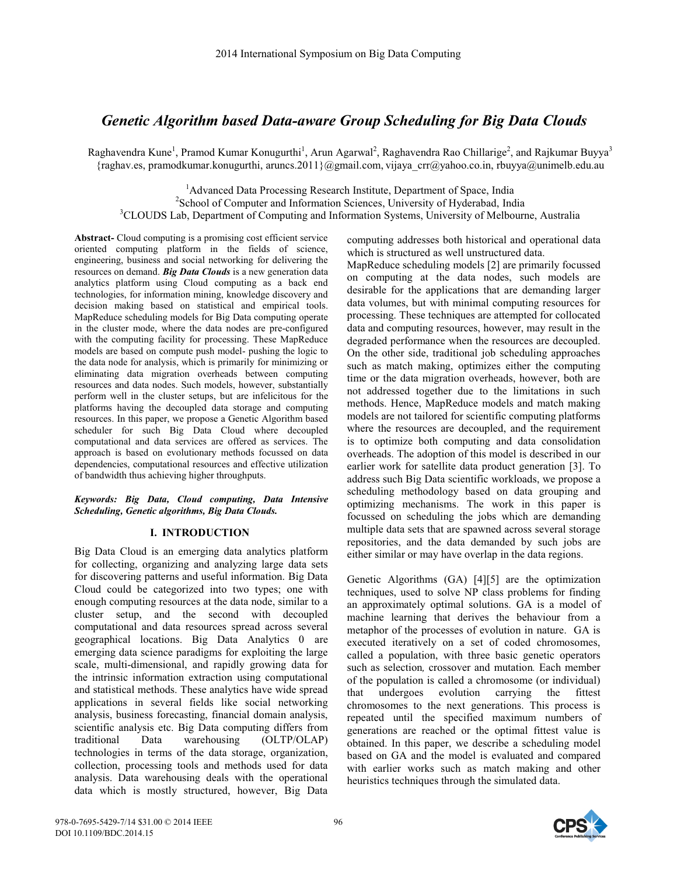# *Genetic Algorithm based Data-aware Group Scheduling for Big Data Clouds*

Raghavendra Kune<sup>1</sup>, Pramod Kumar Konugurthi<sup>1</sup>, Arun Agarwal<sup>2</sup>, Raghavendra Rao Chillarige<sup>2</sup>, and Rajkumar Buyya<sup>3</sup> {raghav.es, pramodkumar.konugurthi, aruncs.2011}@gmail.com, vijaya\_crr@yahoo.co.in, rbuyya@unimelb.edu.au

<sup>1</sup>Advanced Data Processing Research Institute, Department of Space, India<br><sup>2</sup>Sebacl of Computer and Information Sciences, University of Hydershad, Ind <sup>2</sup>School of Computer and Information Sciences, University of Hyderabad, India <sup>3</sup>CLOUDS Lab, Department of Computing and Information Systems, University of Melbourne, Australia

**Abstract-** Cloud computing is a promising cost efficient service oriented computing platform in the fields of science, engineering, business and social networking for delivering the resources on demand. *Big Data Clouds* is a new generation data analytics platform using Cloud computing as a back end technologies, for information mining, knowledge discovery and decision making based on statistical and empirical tools. MapReduce scheduling models for Big Data computing operate in the cluster mode, where the data nodes are pre-configured with the computing facility for processing. These MapReduce models are based on compute push model- pushing the logic to the data node for analysis, which is primarily for minimizing or eliminating data migration overheads between computing resources and data nodes. Such models, however, substantially perform well in the cluster setups, but are infelicitous for the platforms having the decoupled data storage and computing resources. In this paper, we propose a Genetic Algorithm based scheduler for such Big Data Cloud where decoupled computational and data services are offered as services. The approach is based on evolutionary methods focussed on data dependencies, computational resources and effective utilization of bandwidth thus achieving higher throughputs.

## *Keywords: Big Data, Cloud computing, Data Intensive Scheduling, Genetic algorithms, Big Data Clouds.*

## **I. INTRODUCTION**

Big Data Cloud is an emerging data analytics platform for collecting, organizing and analyzing large data sets for discovering patterns and useful information. Big Data Cloud could be categorized into two types; one with enough computing resources at the data node, similar to a cluster setup, and the second with decoupled computational and data resources spread across several geographical locations. Big Data Analytics 0 are emerging data science paradigms for exploiting the large scale, multi-dimensional, and rapidly growing data for the intrinsic information extraction using computational and statistical methods. These analytics have wide spread applications in several fields like social networking analysis, business forecasting, financial domain analysis, scientific analysis etc. Big Data computing differs from traditional Data warehousing (OLTP/OLAP) technologies in terms of the data storage, organization, collection, processing tools and methods used for data analysis. Data warehousing deals with the operational data which is mostly structured, however, Big Data computing addresses both historical and operational data which is structured as well unstructured data.

MapReduce scheduling models [2] are primarily focussed on computing at the data nodes, such models are desirable for the applications that are demanding larger data volumes, but with minimal computing resources for processing. These techniques are attempted for collocated data and computing resources, however, may result in the degraded performance when the resources are decoupled. On the other side, traditional job scheduling approaches such as match making, optimizes either the computing time or the data migration overheads, however, both are not addressed together due to the limitations in such methods. Hence, MapReduce models and match making models are not tailored for scientific computing platforms where the resources are decoupled, and the requirement is to optimize both computing and data consolidation overheads. The adoption of this model is described in our earlier work for satellite data product generation [3]. To address such Big Data scientific workloads, we propose a scheduling methodology based on data grouping and optimizing mechanisms. The work in this paper is focussed on scheduling the jobs which are demanding multiple data sets that are spawned across several storage repositories, and the data demanded by such jobs are either similar or may have overlap in the data regions.

Genetic Algorithms (GA) [4][5] are the optimization techniques, used to solve NP class problems for finding an approximately optimal solutions. GA is a model of machine learning that derives the behaviour from a metaphor of the processes of evolution in nature. GA is executed iteratively on a set of coded chromosomes, called a population, with three basic genetic operators such as selection*,* crossover and mutation*.* Each member of the population is called a chromosome (or individual) that undergoes evolution carrying the fittest chromosomes to the next generations. This process is repeated until the specified maximum numbers of generations are reached or the optimal fittest value is obtained. In this paper, we describe a scheduling model based on GA and the model is evaluated and compared with earlier works such as match making and other heuristics techniques through the simulated data.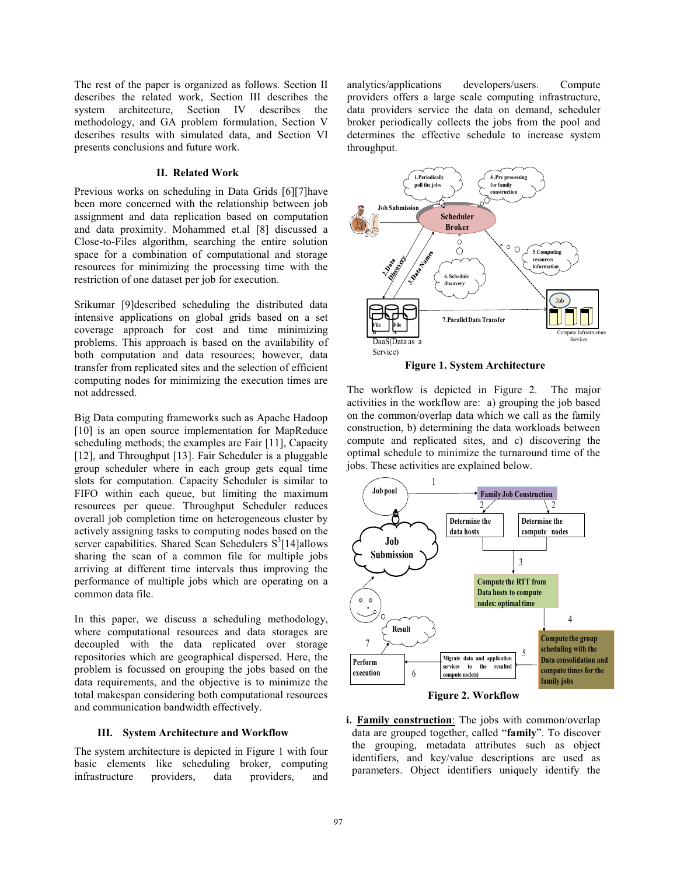The rest of the paper is organized as follows. Section II describes the related work, Section III describes the system architecture, Section IV describes the methodology, and GA problem formulation, Section V describes results with simulated data, and Section VI presents conclusions and future work.

# **II. Related Work**

Previous works on scheduling in Data Grids [6][7]have been more concerned with the relationship between job assignment and data replication based on computation and data proximity. Mohammed et.al [8] discussed a Close-to-Files algorithm, searching the entire solution space for a combination of computational and storage resources for minimizing the processing time with the restriction of one dataset per job for execution.

Srikumar [9]described scheduling the distributed data intensive applications on global grids based on a set coverage approach for cost and time minimizing problems. This approach is based on the availability of both computation and data resources; however, data transfer from replicated sites and the selection of efficient computing nodes for minimizing the execution times are not addressed.

Big Data computing frameworks such as Apache Hadoop [10] is an open source implementation for MapReduce scheduling methods; the examples are Fair [11], Capacity [12], and Throughput [13]. Fair Scheduler is a pluggable group scheduler where in each group gets equal time slots for computation. Capacity Scheduler is similar to FIFO within each queue, but limiting the maximum resources per queue. Throughput Scheduler reduces overall job completion time on heterogeneous cluster by actively assigning tasks to computing nodes based on the server capabilities. Shared Scan Schedulers  $S^3$ [14]allows sharing the scan of a common file for multiple jobs arriving at different time intervals thus improving the performance of multiple jobs which are operating on a common data file.

In this paper, we discuss a scheduling methodology, where computational resources and data storages are decoupled with the data replicated over storage repositories which are geographical dispersed. Here, the problem is focussed on grouping the jobs based on the data requirements, and the objective is to minimize the total makespan considering both computational resources and communication bandwidth effectively.

#### **III. System Architecture and Workflow**

The system architecture is depicted in Figure 1 with four basic elements like scheduling broker, computing infrastructure providers, data providers, and

analytics/applications developers/users. Compute providers offers a large scale computing infrastructure, data providers service the data on demand, scheduler broker periodically collects the jobs from the pool and determines the effective schedule to increase system throughput.



**Figure 1. System Architecture** 

The workflow is depicted in Figure 2. The major activities in the workflow are: a) grouping the job based on the common/overlap data which we call as the family construction, b) determining the data workloads between compute and replicated sites, and c) discovering the optimal schedule to minimize the turnaround time of the jobs. These activities are explained below.



**i. Family construction**: The jobs with common/overlap data are grouped together, called "**family**". To discover the grouping, metadata attributes such as object identifiers, and key/value descriptions are used as parameters. Object identifiers uniquely identify the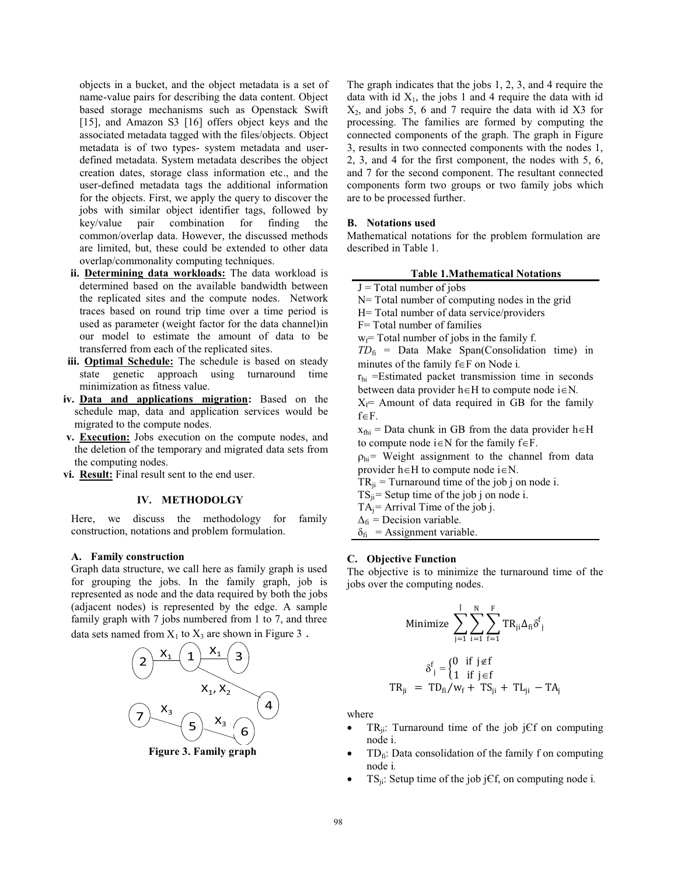objects in a bucket, and the object metadata is a set of name-value pairs for describing the data content. Object based storage mechanisms such as Openstack Swift [15], and Amazon S3 [16] offers object keys and the associated metadata tagged with the files/objects. Object metadata is of two types- system metadata and userdefined metadata. System metadata describes the object creation dates, storage class information etc., and the user-defined metadata tags the additional information for the objects. First, we apply the query to discover the jobs with similar object identifier tags, followed by key/value pair combination for finding the common/overlap data. However, the discussed methods are limited, but, these could be extended to other data overlap/commonality computing techniques.

- **ii. Determining data workloads:** The data workload is determined based on the available bandwidth between the replicated sites and the compute nodes. Network traces based on round trip time over a time period is used as parameter (weight factor for the data channel)in our model to estimate the amount of data to be transferred from each of the replicated sites.
- **iii. Optimal Schedule:** The schedule is based on steady state genetic approach using turnaround time minimization as fitness value.
- **iv. Data and applications migration:** Based on the schedule map, data and application services would be migrated to the compute nodes.
- **v. Execution:** Jobs execution on the compute nodes, and the deletion of the temporary and migrated data sets from the computing nodes.
- **vi. Result:** Final result sent to the end user.

## **IV. METHODOLGY**

Here, we discuss the methodology for family construction, notations and problem formulation.

#### **A. Family construction**

Graph data structure, we call here as family graph is used for grouping the jobs. In the family graph, job is represented as node and the data required by both the jobs (adjacent nodes) is represented by the edge. A sample family graph with 7 jobs numbered from 1 to 7, and three data sets named from  $X_1$  to  $X_3$  are shown in Figure 3.



**Figure 3. Family graph** 

The graph indicates that the jobs 1, 2, 3, and 4 require the data with id  $X_1$ , the jobs 1 and 4 require the data with id  $X_2$ , and jobs 5, 6 and 7 require the data with id X3 for processing. The families are formed by computing the connected components of the graph. The graph in Figure 3, results in two connected components with the nodes 1, 2, 3, and 4 for the first component, the nodes with 5, 6, and 7 for the second component. The resultant connected components form two groups or two family jobs which are to be processed further.

#### **B. Notations used**

Mathematical notations for the problem formulation are described in Table 1.

### **Table 1.Mathematical Notations**

 $J = Total number of jobs$ 

N= Total number of computing nodes in the grid

- H= Total number of data service/providers
- F= Total number of families
- $w_f$ = Total number of jobs in the family f.

*TD*fi = Data Make Span(Consolidation time) in minutes of the family  $f \in F$  on Node i.

rhi =Estimated packet transmission time in seconds between data provider  $h \in H$  to compute node  $i \in N$ .

 $X_f$ = Amount of data required in GB for the family  $f \in F$ .

 $x_{\text{fhi}}$  = Data chunk in GB from the data provider h  $\in$  H to compute node  $i \in N$  for the family  $f \in F$ .

 $\rho_{hi}$ = Weight assignment to the channel from data provider  $h \in H$  to compute node  $i \in N$ .

 $TR_{ii}$  = Turnaround time of the job j on node i.

- $TS_{ii}$ = Setup time of the job j on node i.
- $TA_i =$  Arrival Time of the job j.
- $\Delta_{fi}$  = Decision variable.
- $\delta_{fi}$  = Assignment variable.

## **C. Objective Function**

The objective is to minimize the turnaround time of the jobs over the computing nodes.

Minimize 
$$
\sum_{j=1}^{J} \sum_{i=1}^{N} \sum_{f=1}^{F} TR_{ji} \Delta_{fi} \delta_{j}^{f}
$$

$$
\delta_{j}^{f} = \begin{cases} 0 & \text{if } j \notin f \\ 1 & \text{if } j \in f \end{cases}
$$

$$
TR_{ji} = TD_{fi}/w_{f} + TS_{ji} + TL_{ji} - TA_{j}
$$

where

- $TR_{ii}$ : Turnaround time of the job j $\epsilon$ f on computing node i.
- $TD_{fi}$ : Data consolidation of the family f on computing node i*.*
- TS $_{ii}$ : Setup time of the job j $\epsilon$ f, on computing node i.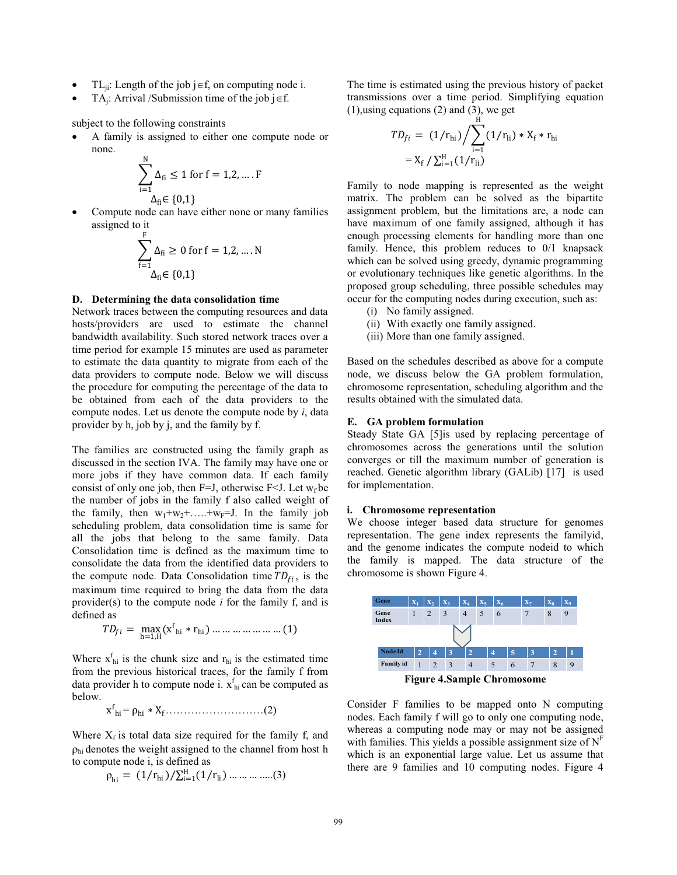- TL<sub>ji</sub>: Length of the job  $j \in f$ , on computing node i.
- TA<sub>j</sub>: Arrival /Submission time of the job j  $\in$  f.

subject to the following constraints

 A family is assigned to either one compute node or none.

$$
\sum_{i=1}^{N} \Delta_{fi} \le 1 \text{ for } f = 1, 2, \dots, F
$$

$$
\Delta_{fi} \in \{0, 1\}
$$

 Compute node can have either none or many families assigned to it

$$
\sum_{f=1}^{F} \Delta_{fi} \ge 0 \text{ for } f = 1, 2, \dots, N
$$

$$
\Delta_{fi} \in \{0, 1\}
$$

#### **D. Determining the data consolidation time**

Network traces between the computing resources and data hosts/providers are used to estimate the channel bandwidth availability. Such stored network traces over a time period for example 15 minutes are used as parameter to estimate the data quantity to migrate from each of the data providers to compute node. Below we will discuss the procedure for computing the percentage of the data to be obtained from each of the data providers to the compute nodes. Let us denote the compute node by *i*, data provider by h, job by j, and the family by f.

The families are constructed using the family graph as discussed in the section IVA. The family may have one or more jobs if they have common data. If each family consist of only one job, then  $F=J$ , otherwise  $F\leq J$ . Let  $w_f$  be the number of jobs in the family f also called weight of the family, then  $w_1+w_2+\ldots+w_F=J$ . In the family job scheduling problem, data consolidation time is same for all the jobs that belong to the same family. Data Consolidation time is defined as the maximum time to consolidate the data from the identified data providers to the compute node. Data Consolidation time  $TD_{fi}$ , is the maximum time required to bring the data from the data provider(s) to the compute node *i* for the family f, and is defined as

$$
TD_{fi} = \max_{h=1,H} (x_{hi}^f * r_{hi}) \dots \dots \dots \dots \dots \dots (1)
$$

Where  $x_{hi}^f$  is the chunk size and  $r_{hi}$  is the estimated time from the previous historical traces, for the family f from data provider h to compute node i.  $x_{hi}^f$  can be computed as below.

xf hi= ρhi ∗ Xf………………………(2)

Where  $X_f$  is total data size required for the family f, and  $\rho_{hi}$  denotes the weight assigned to the channel from host h to compute node i, is defined as

$$
\rho_{\text{hi}} = (1/r_{\text{hi}})/\sum_{i=1}^{H} (1/r_{\text{li}}) \dots \dots \dots \dots (3)
$$

The time is estimated using the previous history of packet transmissions over a time period. Simplifying equation (1), using equations (2) and (3), we get

$$
TD_{fi} = (1/r_{hi}) / \sum_{i=1}^{n} (1/r_{li}) * X_f * r_{hi}
$$
  
=  $X_f / \sum_{i=1}^{H} (1/r_{li})$ 

Family to node mapping is represented as the weight matrix. The problem can be solved as the bipartite assignment problem, but the limitations are, a node can have maximum of one family assigned, although it has enough processing elements for handling more than one family. Hence, this problem reduces to 0/1 knapsack which can be solved using greedy, dynamic programming or evolutionary techniques like genetic algorithms. In the proposed group scheduling, three possible schedules may occur for the computing nodes during execution, such as:

- (i) No family assigned.
- (ii) With exactly one family assigned.
- (iii) More than one family assigned.

Based on the schedules described as above for a compute node, we discuss below the GA problem formulation, chromosome representation, scheduling algorithm and the results obtained with the simulated data.

#### **E. GA problem formulation**

Steady State GA [5]is used by replacing percentage of chromosomes across the generations until the solution converges or till the maximum number of generation is reached. Genetic algorithm library (GALib) [17] is used for implementation.

#### **i. Chromosome representation**

We choose integer based data structure for genomes representation. The gene index represents the familyid, and the genome indicates the compute nodeid to which the family is mapped. The data structure of the chromosome is shown Figure 4.



Consider F families to be mapped onto N computing nodes. Each family f will go to only one computing node, whereas a computing node may or may not be assigned with families. This yields a possible assignment size of  $N<sup>F</sup>$ which is an exponential large value. Let us assume that there are 9 families and 10 computing nodes. Figure 4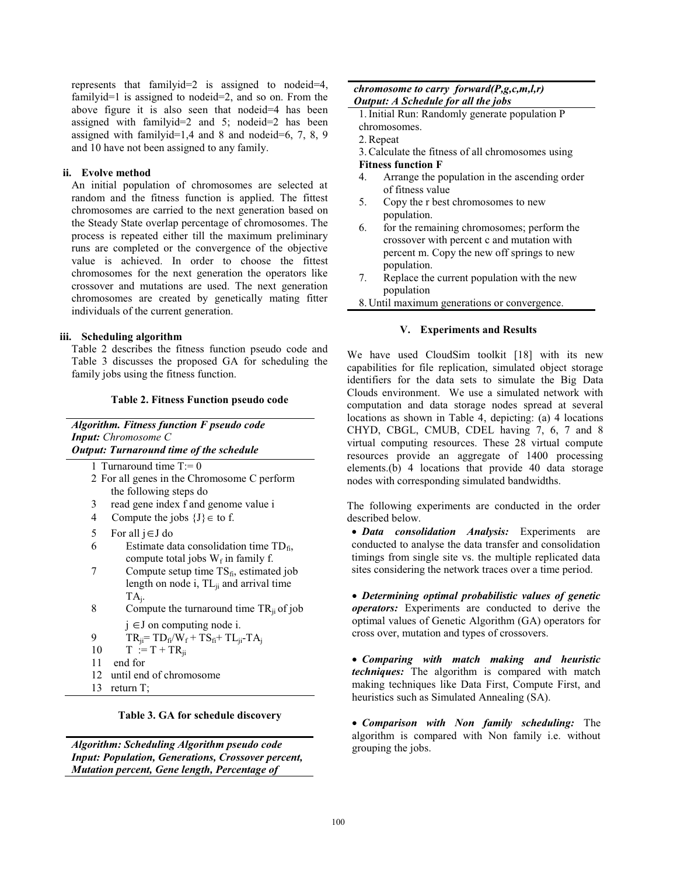represents that familyid=2 is assigned to nodeid=4, familyid=1 is assigned to nodeid=2, and so on. From the above figure it is also seen that nodeid=4 has been assigned with familyid=2 and 5; nodeid=2 has been assigned with familyid=1,4 and 8 and nodeid=6, 7, 8, 9 and 10 have not been assigned to any family.

## **ii. Evolve method**

An initial population of chromosomes are selected at random and the fitness function is applied. The fittest chromosomes are carried to the next generation based on the Steady State overlap percentage of chromosomes. The process is repeated either till the maximum preliminary runs are completed or the convergence of the objective value is achieved. In order to choose the fittest chromosomes for the next generation the operators like crossover and mutations are used. The next generation chromosomes are created by genetically mating fitter individuals of the current generation.

## **iii. Scheduling algorithm**

Table 2 describes the fitness function pseudo code and Table 3 discusses the proposed GA for scheduling the family jobs using the fitness function.

#### **Table 2. Fitness Function pseudo code**

# *Algorithm. Fitness function F pseudo code Input: Chromosome C Output: Turnaround time of the schedule*

1 Turnaround time  $T=0$ 2 For all genes in the Chromosome C perform the following steps do

- 3 read gene index f and genome value i
- 4 Compute the jobs  ${J} \in$  to f.
- 5 For all  $j \in J$  do
- 6 Estimate data consolidation time  $TD_{fi}$ , compute total jobs  $W_f$  in family f.
- 7 Compute setup time  $TS<sub>fi</sub>$ , estimated job length on node  $i$ ,  $TL_{ii}$  and arrival time TAj.
- 8 Compute the turnaround time  $TR_{ii}$  of job  $j \in J$  on computing node i.

$$
9 \qquad \qquad TR_{ji} = TD_{fi} / \hat{W}_f + TS_{fi} + TL_{ji} - TA_j
$$

$$
10 \qquad T := T + TR_{ji}
$$

- 11 end for
- 12 until end of chromosome
- 13 return T;

# **Table 3. GA for schedule discovery**

*Algorithm: Scheduling Algorithm pseudo code Input: Population, Generations, Crossover percent, Mutation percent, Gene length, Percentage of* 

# *chromosome to carry forward(P,g,c,m,l,r) Output: A Schedule for all the jobs*

- 1.Initial Run: Randomly generate population P chromosomes.
- 2.Repeat
- 3.Calculate the fitness of all chromosomes using **Fitness function F**
- 4. Arrange the population in the ascending order of fitness value
- 5. Copy the r best chromosomes to new population.
- 6. for the remaining chromosomes; perform the crossover with percent c and mutation with percent m. Copy the new off springs to new population.
- 7. Replace the current population with the new population
- 8. Until maximum generations or convergence.

#### **V. Experiments and Results**

We have used CloudSim toolkit [18] with its new capabilities for file replication, simulated object storage identifiers for the data sets to simulate the Big Data Clouds environment. We use a simulated network with computation and data storage nodes spread at several locations as shown in Table 4, depicting: (a) 4 locations CHYD, CBGL, CMUB, CDEL having 7, 6, 7 and 8 virtual computing resources. These 28 virtual compute resources provide an aggregate of 1400 processing elements.(b) 4 locations that provide 40 data storage nodes with corresponding simulated bandwidths.

The following experiments are conducted in the order described below.

 *Data consolidation Analysis:* Experiments are conducted to analyse the data transfer and consolidation timings from single site vs. the multiple replicated data sites considering the network traces over a time period.

 *Determining optimal probabilistic values of genetic operators:* Experiments are conducted to derive the optimal values of Genetic Algorithm (GA) operators for cross over, mutation and types of crossovers.

 *Comparing with match making and heuristic techniques:* The algorithm is compared with match making techniques like Data First, Compute First, and heuristics such as Simulated Annealing (SA).

 *Comparison with Non family scheduling:* The algorithm is compared with Non family i.e. without grouping the jobs.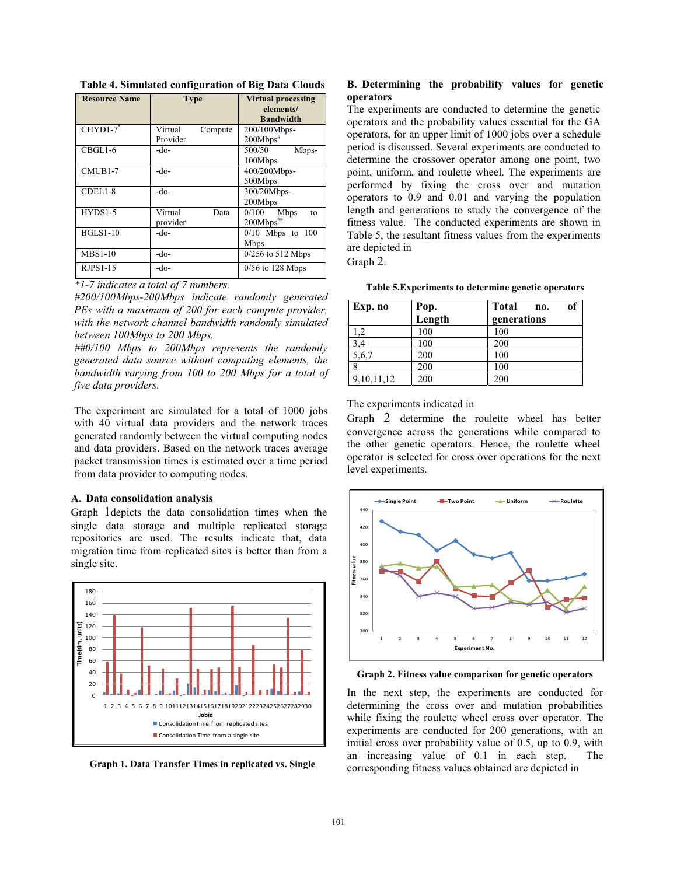| <b>Resource Name</b> | <b>Type</b>                    | <b>Virtual processing</b><br>elements/<br><b>Bandwidth</b> |
|----------------------|--------------------------------|------------------------------------------------------------|
| $CHYDI-7$ *          | Virtual<br>Compute<br>Provider | 200/100Mbps-<br>200Mbps''                                  |
| CBGL1-6              | -do-                           | 500/50<br>Mbps-<br>100Mbps                                 |
| $CMUB1-7$            | -do-                           | 400/200Mbps-<br>500Mbps                                    |
| CDEL1-8              | -do-                           | 300/20Mbps-<br>200Mbps                                     |
| $HYDS1-5$            | Virtual<br>Data<br>provider    | 0/100<br><b>Mbps</b><br>to<br>$200Mbps^{\#}$               |
| <b>BGLS1-10</b>      | -do-                           | $0/10$ Mbps to $100$<br><b>Mbps</b>                        |
| <b>MBS1-10</b>       | -do-                           | $0/256$ to 512 Mbps                                        |
| RJPS1-15             | -do-                           | $0/56$ to 128 Mbps                                         |

**Table 4. Simulated configuration of Big Data Clouds** 

*\*1-7 indicates a total of 7 numbers.* 

*#200/100Mbps-200Mbps indicate randomly generated PEs with a maximum of 200 for each compute provider, with the network channel bandwidth randomly simulated between 100Mbps to 200 Mbps.* 

*##0/100 Mbps to 200Mbps represents the randomly generated data source without computing elements, the bandwidth varying from 100 to 200 Mbps for a total of five data providers.* 

The experiment are simulated for a total of 1000 jobs with 40 virtual data providers and the network traces generated randomly between the virtual computing nodes and data providers. Based on the network traces average packet transmission times is estimated over a time period from data provider to computing nodes.

## **A. Data consolidation analysis**

Graph 1depicts the data consolidation times when the single data storage and multiple replicated storage repositories are used. The results indicate that, data migration time from replicated sites is better than from a single site.



**Graph 1. Data Transfer Times in replicated vs. Single** 

## **B. Determining the probability values for genetic operators**

The experiments are conducted to determine the genetic operators and the probability values essential for the GA operators, for an upper limit of 1000 jobs over a schedule period is discussed. Several experiments are conducted to determine the crossover operator among one point, two point, uniform, and roulette wheel. The experiments are performed by fixing the cross over and mutation operators to 0.9 and 0.01 and varying the population length and generations to study the convergence of the fitness value. The conducted experiments are shown in Table 5, the resultant fitness values from the experiments are depicted in

Graph 2.

| Exp. no       | Pop.<br>Length | of<br><b>Total</b><br>no.<br>generations |
|---------------|----------------|------------------------------------------|
| 1,2           | 100            | 100                                      |
| 3,4           | 100            | 200                                      |
| 5,6,7         | 200            | 100                                      |
| 8             | 200            | 100                                      |
| 9, 10, 11, 12 | 200            | 200                                      |

The experiments indicated in

Graph 2 determine the roulette wheel has better convergence across the generations while compared to the other genetic operators. Hence, the roulette wheel operator is selected for cross over operations for the next level experiments.



**Graph 2. Fitness value comparison for genetic operators** 

In the next step, the experiments are conducted for determining the cross over and mutation probabilities while fixing the roulette wheel cross over operator. The experiments are conducted for 200 generations, with an initial cross over probability value of 0.5, up to 0.9, with an increasing value of 0.1 in each step. The corresponding fitness values obtained are depicted in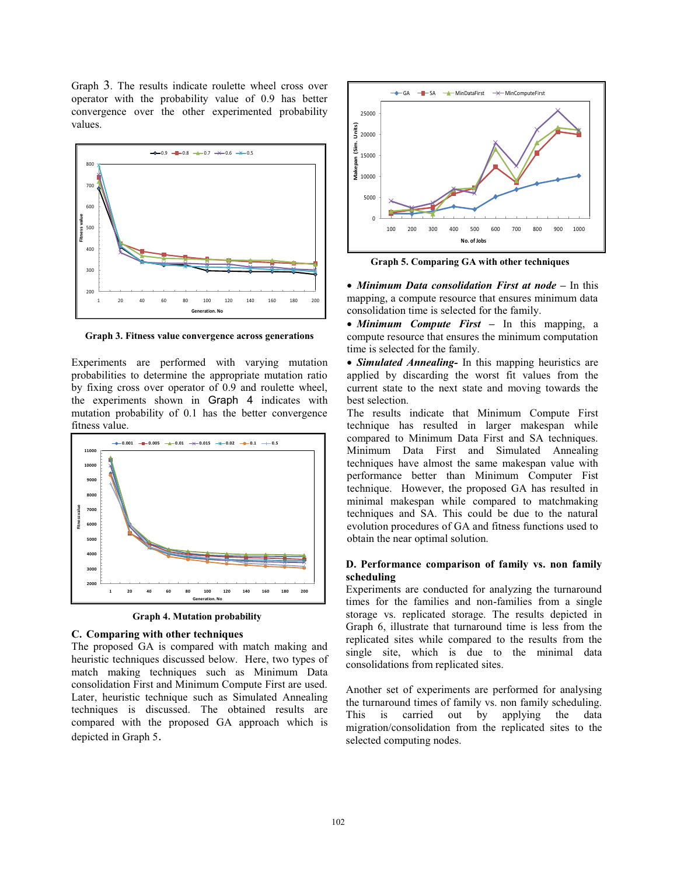Graph 3. The results indicate roulette wheel cross over operator with the probability value of 0.9 has better convergence over the other experimented probability values.



**Graph 3. Fitness value convergence across generations** 

Experiments are performed with varying mutation probabilities to determine the appropriate mutation ratio by fixing cross over operator of 0.9 and roulette wheel, the experiments shown in Graph 4 indicates with mutation probability of 0.1 has the better convergence fitness value.



**Graph 4. Mutation probability** 

# **C. Comparing with other techniques**

The proposed GA is compared with match making and heuristic techniques discussed below. Here, two types of match making techniques such as Minimum Data consolidation First and Minimum Compute First are used. Later, heuristic technique such as Simulated Annealing techniques is discussed. The obtained results are compared with the proposed GA approach which is depicted in Graph 5.



**Graph 5. Comparing GA with other techniques**

 *Minimum Data consolidation First at node –* In this mapping, a compute resource that ensures minimum data consolidation time is selected for the family.

 *Minimum Compute First –* In this mapping, a compute resource that ensures the minimum computation time is selected for the family.

 *Simulated Annealing-* In this mapping heuristics are applied by discarding the worst fit values from the current state to the next state and moving towards the best selection.

The results indicate that Minimum Compute First technique has resulted in larger makespan while compared to Minimum Data First and SA techniques. Minimum Data First and Simulated Annealing techniques have almost the same makespan value with performance better than Minimum Computer Fist technique. However, the proposed GA has resulted in minimal makespan while compared to matchmaking techniques and SA. This could be due to the natural evolution procedures of GA and fitness functions used to obtain the near optimal solution.

# **D. Performance comparison of family vs. non family scheduling**

Experiments are conducted for analyzing the turnaround times for the families and non-families from a single storage vs. replicated storage. The results depicted in Graph 6, illustrate that turnaround time is less from the replicated sites while compared to the results from the single site, which is due to the minimal data consolidations from replicated sites.

Another set of experiments are performed for analysing the turnaround times of family vs. non family scheduling. This is carried out by applying the data migration/consolidation from the replicated sites to the selected computing nodes.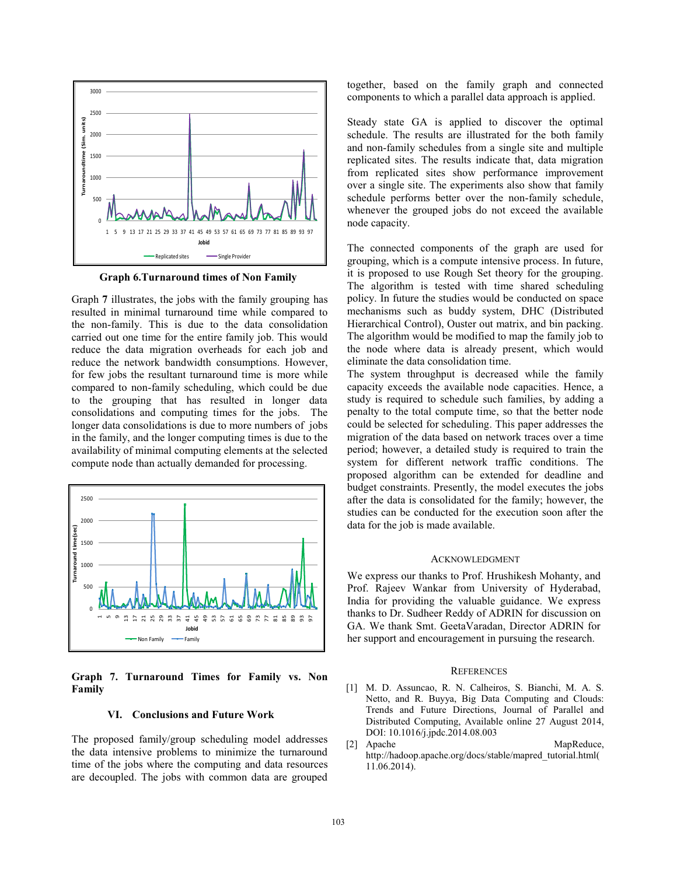

**Graph 6.Turnaround times of Non Family** 

Graph **7** illustrates, the jobs with the family grouping has resulted in minimal turnaround time while compared to the non-family. This is due to the data consolidation carried out one time for the entire family job. This would reduce the data migration overheads for each job and reduce the network bandwidth consumptions. However, for few jobs the resultant turnaround time is more while compared to non-family scheduling, which could be due to the grouping that has resulted in longer data consolidations and computing times for the jobs. The longer data consolidations is due to more numbers of jobs in the family, and the longer computing times is due to the availability of minimal computing elements at the selected compute node than actually demanded for processing.



**Graph 7. Turnaround Times for Family vs. Non Family** 

#### **VI. Conclusions and Future Work**

The proposed family/group scheduling model addresses the data intensive problems to minimize the turnaround time of the jobs where the computing and data resources are decoupled. The jobs with common data are grouped together, based on the family graph and connected components to which a parallel data approach is applied.

Steady state GA is applied to discover the optimal schedule. The results are illustrated for the both family and non-family schedules from a single site and multiple replicated sites. The results indicate that, data migration from replicated sites show performance improvement over a single site. The experiments also show that family schedule performs better over the non-family schedule, whenever the grouped jobs do not exceed the available node capacity.

The connected components of the graph are used for grouping, which is a compute intensive process. In future, it is proposed to use Rough Set theory for the grouping. The algorithm is tested with time shared scheduling policy. In future the studies would be conducted on space mechanisms such as buddy system, DHC (Distributed Hierarchical Control), Ouster out matrix, and bin packing. The algorithm would be modified to map the family job to the node where data is already present, which would eliminate the data consolidation time.

The system throughput is decreased while the family capacity exceeds the available node capacities. Hence, a study is required to schedule such families, by adding a penalty to the total compute time, so that the better node could be selected for scheduling. This paper addresses the migration of the data based on network traces over a time period; however, a detailed study is required to train the system for different network traffic conditions. The proposed algorithm can be extended for deadline and budget constraints. Presently, the model executes the jobs after the data is consolidated for the family; however, the studies can be conducted for the execution soon after the data for the job is made available.

#### ACKNOWLEDGMENT

We express our thanks to Prof. Hrushikesh Mohanty, and Prof. Rajeev Wankar from University of Hyderabad, India for providing the valuable guidance. We express thanks to Dr. Sudheer Reddy of ADRIN for discussion on GA. We thank Smt. GeetaVaradan, Director ADRIN for her support and encouragement in pursuing the research.

#### **REFERENCES**

- [1] M. D. Assuncao, R. N. Calheiros, S. Bianchi, M. A. S. Netto, and R. Buyya, Big Data Computing and Clouds: Trends and Future Directions, Journal of Parallel and Distributed Computing, Available online 27 August 2014, DOI: 10.1016/j.jpdc.2014.08.003
- [2] Apache MapReduce, http://hadoop.apache.org/docs/stable/mapred\_tutorial.html( 11.06.2014).